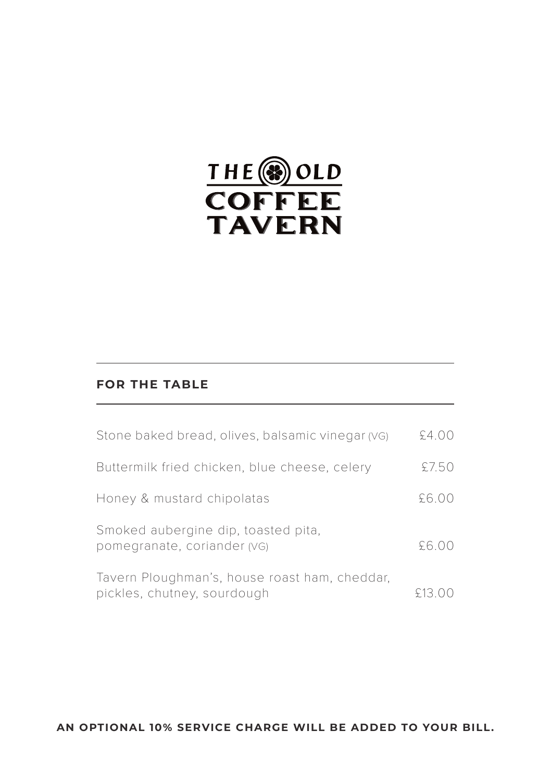

#### **FOR THE TABLE**

| Stone baked bread, olives, balsamic vinegar (VG)                             | \$4.00 |
|------------------------------------------------------------------------------|--------|
| Buttermilk fried chicken, blue cheese, celery                                | £7.50  |
| Honey & mustard chipolatas                                                   | £6.00  |
| Smoked aubergine dip, toasted pita,<br>pomegranate, coriander (VG)           | £6.00  |
| Tavern Ploughman's, house roast ham, cheddar,<br>pickles, chutney, sourdough | £13.00 |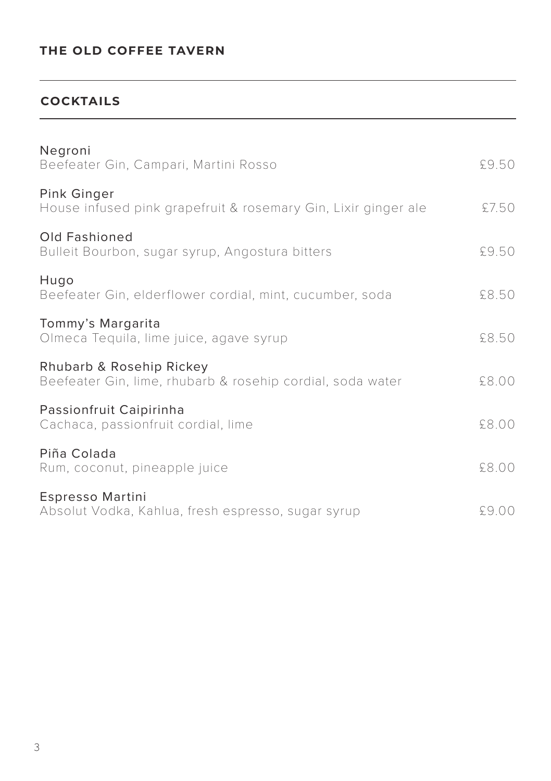## **COCKTAILS**

| Negroni<br>Beefeater Gin, Campari, Martini Rosso                                       | £9.50 |
|----------------------------------------------------------------------------------------|-------|
| Pink Ginger<br>House infused pink grapefruit & rosemary Gin, Lixir ginger ale          | £7.50 |
| Old Fashioned<br>Bulleit Bourbon, sugar syrup, Angostura bitters                       | £9.50 |
| Hugo<br>Beefeater Gin, elderflower cordial, mint, cucumber, soda                       | £8.50 |
| Tommy's Margarita<br>Olmeca Tequila, lime juice, agave syrup                           | £8.50 |
| Rhubarb & Rosehip Rickey<br>Beefeater Gin, lime, rhubarb & rosehip cordial, soda water | £8.00 |
| Passionfruit Caipirinha<br>Cachaca, passionfruit cordial, lime                         | £8.00 |
| Piña Colada<br>Rum, coconut, pineapple juice                                           | £8.00 |
| Espresso Martini<br>Absolut Vodka, Kahlua, fresh espresso, sugar syrup                 | £9.00 |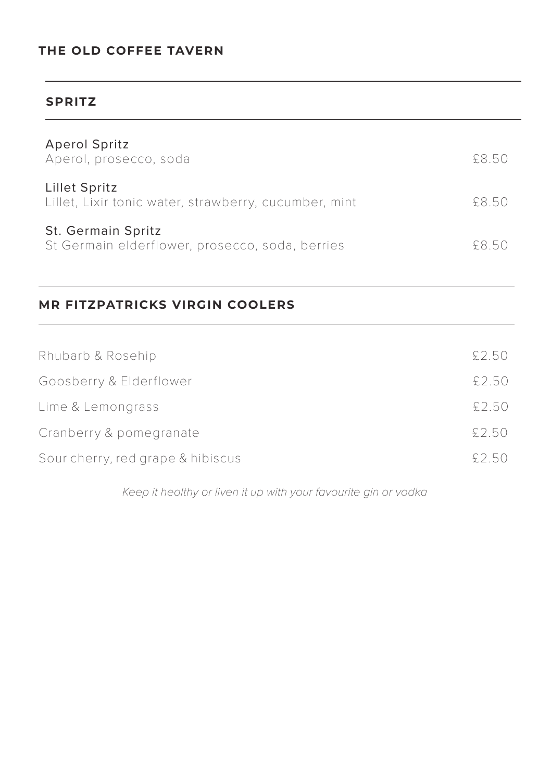#### **SPRITZ**

| <b>Aperol Spritz</b><br>Aperol, prosecco, soda                         | 58.50 |
|------------------------------------------------------------------------|-------|
| Lillet Spritz<br>Lillet, Lixir tonic water, strawberry, cucumber, mint | 58.50 |
| St. Germain Spritz<br>St Germain elderflower, prosecco, soda, berries  | 58.50 |

## **MR FITZPATRICKS VIRGIN COOLERS**

| Rhubarb & Rosehip                 | £2.50  |
|-----------------------------------|--------|
| Goosberry & Elderflower           | £2.50  |
| Lime & Lemongrass                 | £2.50  |
| Cranberry & pomegranate           | £2.50  |
| Sour cherry, red grape & hibiscus | \$2.50 |

*Keep it healthy or liven it up with your favourite gin or vodka*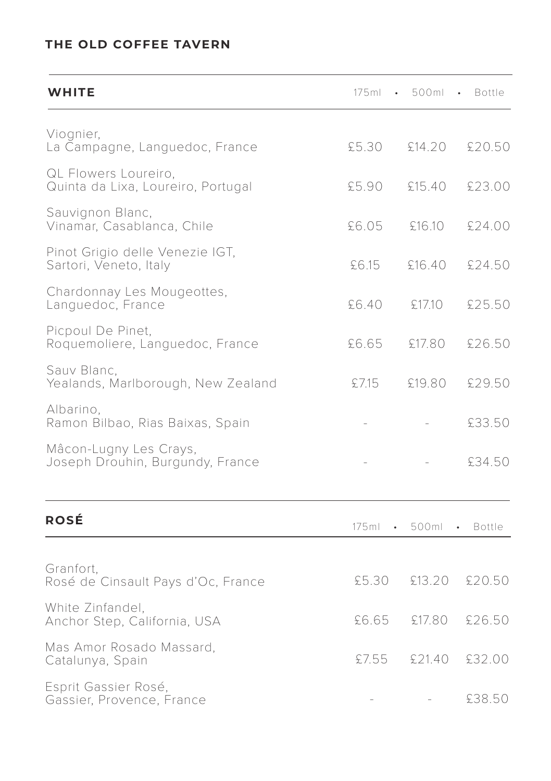| WHITE                                                      | 175ml         | 500ml   | Bottle        |
|------------------------------------------------------------|---------------|---------|---------------|
| Viognier,<br>La Campagne, Languedoc, France                | £5.30         | £14.20  | £20.50        |
| QL Flowers Loureiro,<br>Quinta da Lixa, Loureiro, Portugal | £5.90         | £15.40  | £23.00        |
| Sauvignon Blanc,<br>Vinamar, Casablanca, Chile             | £6.05         | £16.10  | £24.00        |
| Pinot Grigio delle Venezie IGT,<br>Sartori, Veneto, Italy  | £6.15         | £16.40  | £24.50        |
| Chardonnay Les Mougeottes,<br>Languedoc, France            | £6.40         | £17.10  | £25.50        |
| Picpoul De Pinet,<br>Roquemoliere, Languedoc, France       | £6.65         | £17.80  | £26.50        |
| Sauv Blanc,<br>Yealands, Marlborough, New Zealand          | £7.15         | £19.80  | £29.50        |
| Albarino,<br>Ramon Bilbao, Rias Baixas, Spain              |               |         | £33.50        |
| Mâcon-Lugny Les Crays,<br>Joseph Drouhin, Burgundy, France |               |         | £34.50        |
| <b>ROSÉ</b>                                                | $175ml \cdot$ | 500ml • | <b>Bottle</b> |
| Granfort,<br>Rosé de Cinsault Pays d'Oc, France            | £5.30         | £13.20  | £20.50        |
| White Zinfandel,<br>Anchor Step, California, USA           | £6.65         | £17.80  | £26.50        |
| Mas Amor Rosado Massard,<br>Catalunya, Spain               | £7.55         | £21.40  | £32.00        |
| Esprit Gassier Rosé,<br>Gassier, Provence, France          |               |         | £38.50        |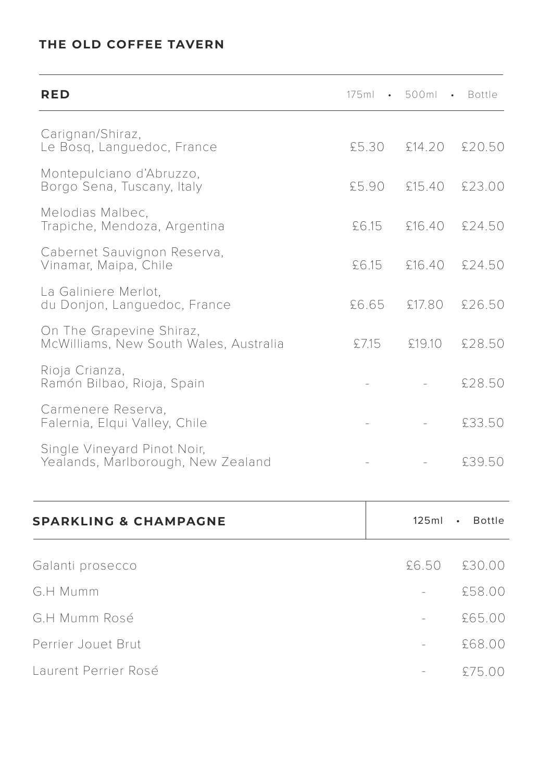| RED                                                                | 175ml | 500ml  | Bottle                     |
|--------------------------------------------------------------------|-------|--------|----------------------------|
| Carignan/Shiraz,<br>Le Bosq, Languedoc, France                     | £5.30 | £14.20 | £20.50                     |
| Montepulciano d'Abruzzo,<br>Borgo Sena, Tuscany, Italy             | £5.90 | £15.40 | £23.00                     |
| Melodias Malbec,<br>Trapiche, Mendoza, Argentina                   | £6.15 | £16.40 | £24.50                     |
| Cabernet Sauvignon Reserva,<br>Vinamar, Maipa, Chile               | £6.15 | £16.40 | £24.50                     |
| La Galiniere Merlot.<br>du Donjon, Languedoc, France               | £6.65 | £17.80 | \$26.50                    |
| On The Grapevine Shiraz,<br>McWilliams, New South Wales, Australia | £7.15 | £19.10 | £28.50                     |
| Rioja Crianza,<br>Ramón Bilbao, Rioja, Spain                       |       |        | £28.50                     |
| Carmenere Reserva,<br>Falernia, Elqui Valley, Chile                |       |        | £33.50                     |
| Single Vineyard Pinot Noir,<br>Yealands, Marlborough, New Zealand  |       |        | £39.50                     |
| <b>SPARKLING &amp; CHAMPAGNE</b>                                   |       | 125ml  | <b>Bottle</b><br>$\bullet$ |
| Galanti prosecco                                                   |       | £6.50  | £30.00                     |
| G.H Mumm                                                           |       |        | £58.00                     |
| G.H Mumm Rosé                                                      |       |        | £65.00                     |
| Perrier Jouet Brut                                                 |       |        | £68.00                     |

£75.00 -

Laurent Perrier Rosé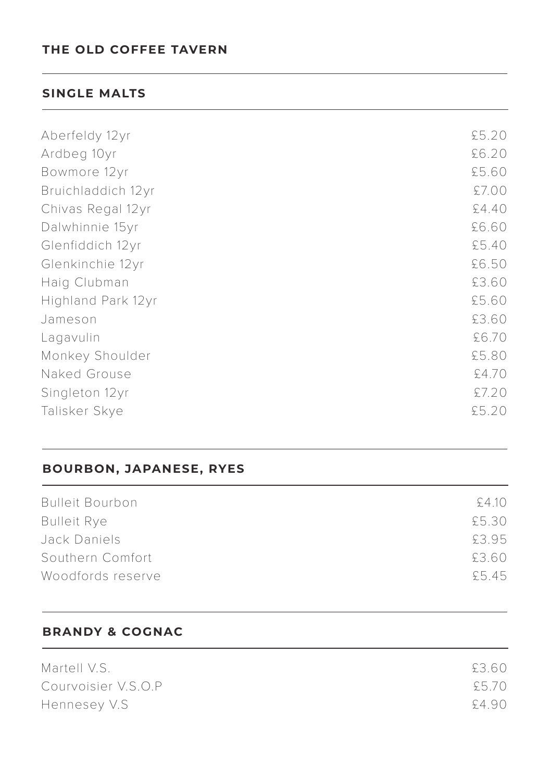#### **SINGLE MALTS**

| Aberfeldy 12yr     | £5.20 |
|--------------------|-------|
| Ardbeg 10yr        | £6.20 |
| Bowmore 12yr       | £5.60 |
| Bruichladdich 12yr | £7.00 |
| Chivas Regal 12yr  | £4.40 |
| Dalwhinnie 15yr    | £6.60 |
| Glenfiddich 12yr   | £5.40 |
| Glenkinchie 12yr   | £6.50 |
| Haig Clubman       | £3.60 |
| Highland Park 12yr | £5.60 |
| Jameson            | £3.60 |
| Lagavulin          | £6.70 |
| Monkey Shoulder    | £5.80 |
| Naked Grouse       | £4.70 |
| Singleton 12yr     | £7.20 |
| Talisker Skye      | £5.20 |

#### **BOURBON, JAPANESE, RYES**

| <b>Bulleit Bourbon</b> | \$410 |
|------------------------|-------|
| <b>Bulleit Rye</b>     | £5.30 |
| Jack Daniels           | £3.95 |
| Southern Comfort       | £3.60 |
| Woodfords reserve      | \$545 |
|                        |       |

### **BRANDY & COGNAC**

| Martell V.S.        | £3.60 |
|---------------------|-------|
| Courvoisier V.S.O.P | £5.70 |
| Hennesey V.S        | £4.90 |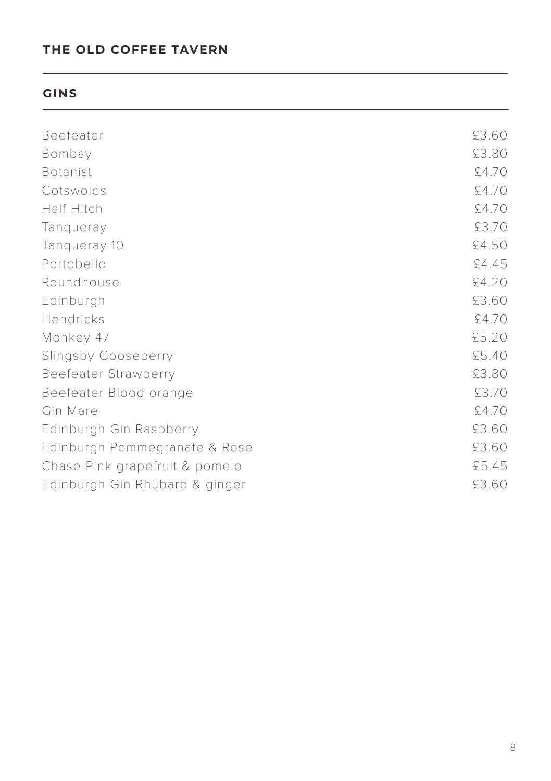#### **GINS**

| Beefeater                      | £3.60 |
|--------------------------------|-------|
| Bombay                         | £3.80 |
| <b>Botanist</b>                | £4.70 |
| Cotswolds                      | £4.70 |
| Half Hitch                     | £4.70 |
| Tangueray                      | £3.70 |
| Tangueray 10                   | £4.50 |
| Portobello                     | £4.45 |
| Roundhouse                     | £4.20 |
| Edinburgh                      | £3.60 |
| Hendricks                      | £4.70 |
| Monkey 47                      | £5.20 |
| Slingsby Gooseberry            | £5.40 |
| Beefeater Strawberry           | £3.80 |
| Beefeater Blood orange         | £3.70 |
| Gin Mare                       | £4.70 |
| Edinburgh Gin Raspberry        | £3.60 |
| Edinburgh Pommegranate & Rose  | £3.60 |
| Chase Pink grapefruit & pomelo | £5.45 |
| Edinburgh Gin Rhubarb & ginger | £3.60 |